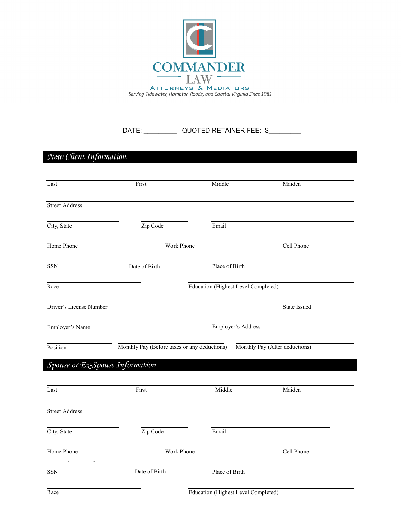

DATE: QUOTED RETAINER FEE: \$

*New Client Information* Last **Example 1** First **First** Middle Maiden Street Address City, State  $\overline{Zip Code}$  Email Home Phone Work Phone Cell Phone - - SSN Date of Birth Place of Birth Race Education (Highest Level Completed) Driver's License Number State Issued Employer's Name Position Employer's Address Monthly Pay (Before taxes or any deductions) Monthly Pay (After deductions) *Spouse or Ex-Spouse Information* Last **Example 1** First **First** Middle Maiden Street Address

Home Phone Cell Phone Cell Phone - - SSN Date of Birth Place of Birth

City, State Zip Code Email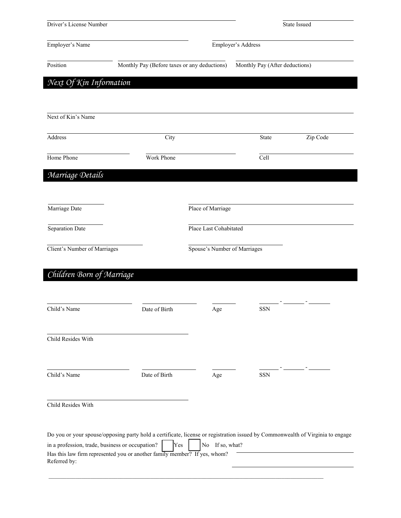| Driver's License Number                                         |                                                                                                                                                                                                                   |                              | State Issued                   |          |
|-----------------------------------------------------------------|-------------------------------------------------------------------------------------------------------------------------------------------------------------------------------------------------------------------|------------------------------|--------------------------------|----------|
| Employer's Address<br>Employer's Name                           |                                                                                                                                                                                                                   |                              |                                |          |
| Position                                                        | Monthly Pay (Before taxes or any deductions)                                                                                                                                                                      |                              | Monthly Pay (After deductions) |          |
| Next Of Kin Information                                         |                                                                                                                                                                                                                   |                              |                                |          |
| Next of Kin's Name                                              |                                                                                                                                                                                                                   |                              |                                |          |
| Address                                                         | City                                                                                                                                                                                                              |                              | State                          | Zip Code |
| Home Phone                                                      | Work Phone                                                                                                                                                                                                        |                              | Cell                           |          |
| Marriage Details                                                |                                                                                                                                                                                                                   |                              |                                |          |
| Marriage Date                                                   |                                                                                                                                                                                                                   | Place of Marriage            |                                |          |
| Separation Date                                                 |                                                                                                                                                                                                                   | Place Last Cohabitated       |                                |          |
| Client's Number of Marriages                                    |                                                                                                                                                                                                                   | Spouse's Number of Marriages |                                |          |
| Children Born of Marriage                                       |                                                                                                                                                                                                                   |                              |                                |          |
| Child's Name                                                    | Date of Birth                                                                                                                                                                                                     | Age                          | SSN                            |          |
| Child Resides With                                              |                                                                                                                                                                                                                   |                              |                                |          |
| Child's Name                                                    | Date of Birth                                                                                                                                                                                                     | Age                          | <b>SSN</b>                     |          |
| Child Resides With                                              |                                                                                                                                                                                                                   |                              |                                |          |
| in a profession, trade, business or occupation?<br>Referred by: | Do you or your spouse/opposing party hold a certificate, license or registration issued by Commonwealth of Virginia to engage<br>Yes<br>Has this law firm represented you or another family member? If yes, whom? | No If so, what?              |                                |          |